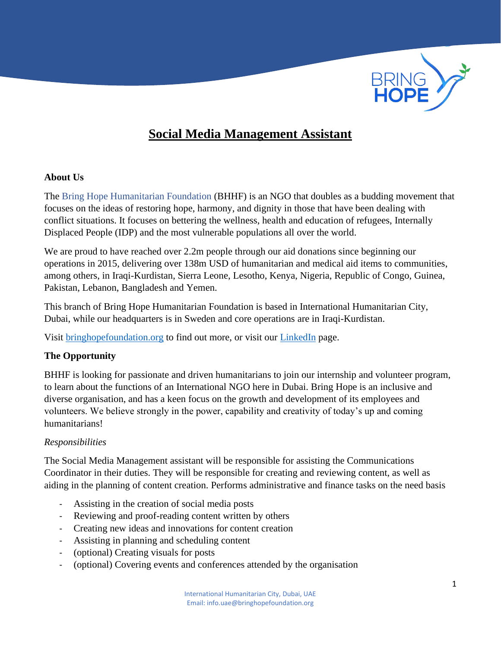

# **Social Media Management Assistant**

#### **About Us**

The Bring Hope Humanitarian Foundation (BHHF) is an NGO that doubles as a budding movement that focuses on the ideas of restoring hope, harmony, and dignity in those that have been dealing with conflict situations. It focuses on bettering the wellness, health and education of refugees, Internally Displaced People (IDP) and the most vulnerable populations all over the world.

We are proud to have reached over 2.2m people through our aid donations since beginning our operations in 2015, delivering over 138m USD of humanitarian and medical aid items to communities, among others, in Iraqi-Kurdistan, Sierra Leone, Lesotho, Kenya, Nigeria, Republic of Congo, Guinea, Pakistan, Lebanon, Bangladesh and Yemen.

This branch of Bring Hope Humanitarian Foundation is based in International Humanitarian City, Dubai, while our headquarters is in Sweden and core operations are in Iraqi-Kurdistan.

Visit [bringhopefoundation.org](file:///C:/Users/Zubiya%20Burney/Downloads/BHHF/bringhopefoundation.org) to find out more, or visit our [LinkedIn](https://www.linkedin.com/company/bring-hope-foundation) page.

#### **The Opportunity**

BHHF is looking for passionate and driven humanitarians to join our internship and volunteer program, to learn about the functions of an International NGO here in Dubai. Bring Hope is an inclusive and diverse organisation, and has a keen focus on the growth and development of its employees and volunteers. We believe strongly in the power, capability and creativity of today's up and coming humanitarians!

#### *Responsibilities*

The Social Media Management assistant will be responsible for assisting the Communications Coordinator in their duties. They will be responsible for creating and reviewing content, as well as aiding in the planning of content creation. Performs administrative and finance tasks on the need basis

- Assisting in the creation of social media posts
- Reviewing and proof-reading content written by others
- Creating new ideas and innovations for content creation
- Assisting in planning and scheduling content
- (optional) Creating visuals for posts
- (optional) Covering events and conferences attended by the organisation